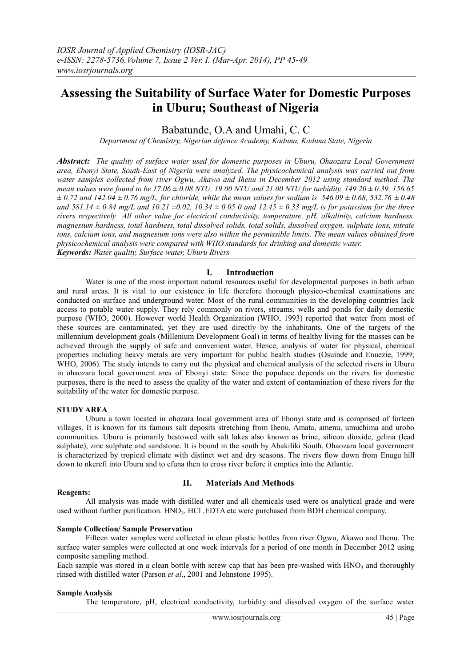# **Assessing the Suitability of Surface Water for Domestic Purposes in Uburu; Southeast of Nigeria**

Babatunde, O.A and Umahi, C. C

*Department of Chemistry, Nigerian defence Academy, Kaduna, Kaduna State, Nigeria*

*Abstract: The quality of surface water used for domestic purposes in Uburu, Ohaozara Local Government area, Ebonyi State, South-East of Nigeria were analyzed. The physicochemical analysis was carried out from water samples collected from river Ogwu, Akawo and Ihenu in December 2012 using standard method. The mean values were found to be 17.06 ± 0.08 NTU, 19.00 NTU and 21.00 NTU for turbidity, 149.20 ± 0.39, 156.65*   $\pm$  0.72 and 142.04  $\pm$  0.76 mg/L, for chloride, while the mean values for sodium is 546.09  $\pm$  0.68, 532.76  $\pm$  0.48 *and 581.14*  $\pm$  0.84 mg/L and 10.21  $\pm$ 0.02, 10.34  $\pm$  0.05 0 and 12.45  $\pm$  0.33 mg/L is for potassium for the three *rivers respectively All other value for electrical conductivity, temperature, pH, alkalinity, calcium hardness, magnesium hardness, total hardness, total dissolved solids, total solids, dissolved oxygen, sulphate ions, nitrate ions, calcium ions, and magnesium ions were also within the permissible limits. The mean values obtained from physicochemical analysis were compared with WHO standards for drinking and domestic water. Keywords: Water quality, Surface water, Uburu Rivers*

## **I. Introduction**

Water is one of the most important natural resources useful for developmental purposes in both urban and rural areas. It is vital to our existence in life therefore thorough physico-chemical examinations are conducted on surface and underground water. Most of the rural communities in the developing countries lack access to potable water supply. They rely commonly on rivers, streams, wells and ponds for daily domestic purpose (WHO, 2000). However world Health Organization (WHO, 1993) reported that water from most of these sources are contaminated, yet they are used directly by the inhabitants. One of the targets of the millennium development goals (Millenium Development Goal) in terms of healthy living for the masses can be achieved through the supply of safe and convenient water. Hence, analysis of water for physical, chemical properties including heavy metals are very important for public health studies (Osuinde and Enuezie, 1999; WHO, 2006). The study intends to carry out the physical and chemical analysis of the selected rivers in Uburu in ohaozara local government area of Ebonyi state. Since the populace depends on the rivers for domestic purposes, there is the need to assess the quality of the water and extent of contamination of these rivers for the suitability of the water for domestic purpose.

## **STUDY AREA**

Uburu a town located in ohozara local government area of Ebonyi state and is comprised of forteen villages. It is known for its famous salt deposits stretching from Ihenu, Amata, amenu, umuchima and urobo communities. Uburu is primarily bestowed with salt lakes also known as brine, silicon dioxide, gelina (lead sulphate), zinc sulphate and sandstone. It is bound in the south by Abakiliki South. Ohaozara local government is characterized by tropical climate with distinct wet and dry seasons. The rivers flow down from Enugu hill down to nkerefi into Uburu and to efuna then to cross river before it empties into the Atlantic.

#### **Reagents:**

## **II. Materials And Methods**

All analysis was made with distilled water and all chemicals used were os analytical grade and were used without further purification. HNO<sub>3</sub>, HCl ,EDTA etc were purchased from BDH chemical company.

#### **Sample Collection/ Sample Preservation**

Fifteen water samples were collected in clean plastic bottles from river Ogwu, Akawo and Ihenu. The surface water samples were collected at one week intervals for a period of one month in December 2012 using composite sampling method.

Each sample was stored in a clean bottle with screw cap that has been pre-washed with  $HNO<sub>3</sub>$  and thoroughly rinsed with distilled water (Parson *et al*., 2001 and Johnstone 1995).

#### **Sample Analysis**

The temperature, pH, electrical conductivity, turbidity and dissolved oxygen of the surface water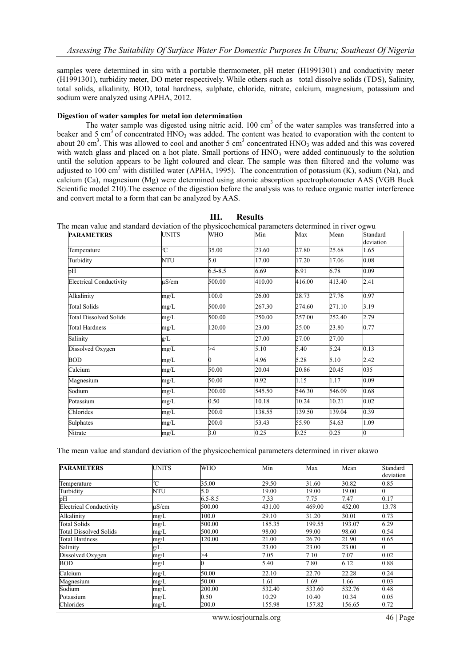samples were determined in situ with a portable thermometer, pH meter (H1991301) and conductivity meter (H1991301), turbidity meter, DO meter respectively. While others such as total dissolve solids (TDS), Salinity, total solids, alkalinity, BOD, total hardness, sulphate, chloride, nitrate, calcium, magnesium, potassium and sodium were analyzed using APHA, 2012.

#### **Digestion of water samples for metal ion determination**

The water sample was digested using nitric acid.  $100 \text{ cm}^3$  of the water samples was transferred into a beaker and 5 cm<sup>3</sup> of concentrated  $HNO<sub>3</sub>$  was added. The content was heated to evaporation with the content to about 20 cm<sup>3</sup>. This was allowed to cool and another 5 cm<sup>3</sup> concentrated  $HNO<sub>3</sub>$  was added and this was covered with watch glass and placed on a hot plate. Small portions of HNO3 were added continuously to the solution until the solution appears to be light coloured and clear. The sample was then filtered and the volume was adjusted to 100 cm<sup>3</sup> with distilled water (APHA, 1995). The concentration of potassium (K), sodium (Na), and calcium (Ca), magnesium (Mg) were determined using atomic absorption spectrophotometer AAS (VGB Buck Scientific model 210).The essence of the digestion before the analysis was to reduce organic matter interference and convert metal to a form that can be analyzed by AAS.

| <b>PARAMETERS</b>              | <b>UNITS</b> | WHO         | Min    | Max    | Mean   | Standard       |
|--------------------------------|--------------|-------------|--------|--------|--------|----------------|
|                                |              |             |        |        |        | deviation      |
| Temperature                    | °C           | 35.00       | 23.60  | 27.80  | 25.68  | 1.65           |
| Turbidity                      | <b>NTU</b>   | 5.0         | 17.00  | 17.20  | 17.06  | 0.08           |
| pH                             |              | $6.5 - 8.5$ | 6.69   | 6.91   | 6.78   | 0.09           |
| <b>Electrical Conductivity</b> | uS/cm        | 500.00      | 410.00 | 416.00 | 413.40 | 2.41           |
| Alkalinity                     | mg/L         | 100.0       | 26.00  | 28.73  | 27.76  | 0.97           |
| <b>Total Solids</b>            | mg/L         | 500.00      | 267.30 | 274.60 | 271.10 | 3.19           |
| <b>Total Dissolved Solids</b>  | mg/L         | 500.00      | 250.00 | 257.00 | 252.40 | 2.79           |
| <b>Total Hardness</b>          | mg/L         | 120.00      | 23.00  | 25.00  | 23.80  | 0.77           |
| Salinity                       | g/L          |             | 27.00  | 27.00  | 27.00  |                |
| Dissolved Oxygen               | mg/L         | >4          | 5.10   | 5.40   | 5.24   | 0.13           |
| <b>BOD</b>                     | mg/L         | U           | 4.96   | 5.28   | 5.10   | 2.42           |
| Calcium                        | mg/L         | 50.00       | 20.04  | 20.86  | 20.45  | 035            |
| Magnesium                      | mg/L         | 50.00       | 0.92   | 1.15   | 1.17   | 0.09           |
| Sodium                         | mg/L         | 200.00      | 545.50 | 546.30 | 546.09 | 0.68           |
| Potassium                      | mg/L         | 0.50        | 10.18  | 10.24  | 10.21  | 0.02           |
| Chlorides                      | mg/L         | 200.0       | 138.55 | 139.50 | 139.04 | 0.39           |
| Sulphates                      | mg/L         | 200.0       | 53.43  | 55.90  | 54.63  | 1.09           |
| Nitrate                        | mg/L         | 3.0         | 0.25   | 0.25   | 0.25   | $\overline{0}$ |

#### **III. Results**

The mean value and standard deviation of the physicochemical parameters determined in river ogwu

The mean value and standard deviation of the physicochemical parameters determined in river akawo

| <b>PARAMETERS</b>              | <b>UNITS</b> | <b>WHO</b>  | Min    | Max    | Mean   | Standard  |
|--------------------------------|--------------|-------------|--------|--------|--------|-----------|
|                                |              |             |        |        |        | deviation |
| Temperature                    | °C           | 35.00       | 29.50  | 31.60  | 30.82  | 0.85      |
| Turbidity                      | NTU          | 5.0         | 19.00  | 19.00  | 19.00  |           |
| pH                             |              | $6.5 - 8.5$ | 7.33   | 7.75   | 7.47   | 0.17      |
| <b>Electrical Conductivity</b> | $\mu$ S/cm   | 500.00      | 431.00 | 469.00 | 452.00 | 13.78     |
| Alkalinity                     | mg/L         | 100.0       | 29.10  | 31.20  | 30.01  | 0.73      |
| <b>Total Solids</b>            | mg/L         | 500.00      | 185.35 | 199.55 | 193.07 | 6.29      |
| <b>Total Dissolved Solids</b>  | mg/L         | 500.00      | 98.00  | 99.00  | 98.60  | 0.54      |
| <b>Total Hardness</b>          | mg/L         | 120.00      | 21.00  | 26.70  | 21.90  | 0.65      |
| Salinity                       | g/L          |             | 23.00  | 23.00  | 23.00  |           |
| Dissolved Oxygen               | mg/L         | >4          | 7.05   | 7.10   | 7.07   | 0.02      |
| <b>BOD</b>                     | mg/L         | 0           | 5.40   | 7.80   | 6.12   | 0.88      |
| Calcium                        | mg/L         | 50.00       | 22.10  | 22.70  | 22.28  | 0.24      |
| Magnesium                      | mg/L         | 50.00       | 1.61   | 1.69   | 1.66   | 0.03      |
| Sodium                         | mg/L         | 200.00      | 532.40 | 533.60 | 532.76 | 0.48      |
| Potassium                      | mg/L         | 0.50        | 10.29  | 10.40  | 10.34  | 0.05      |
| Chlorides                      | mg/L         | 200.0       | 155.98 | 157.82 | 156.65 | 0.72      |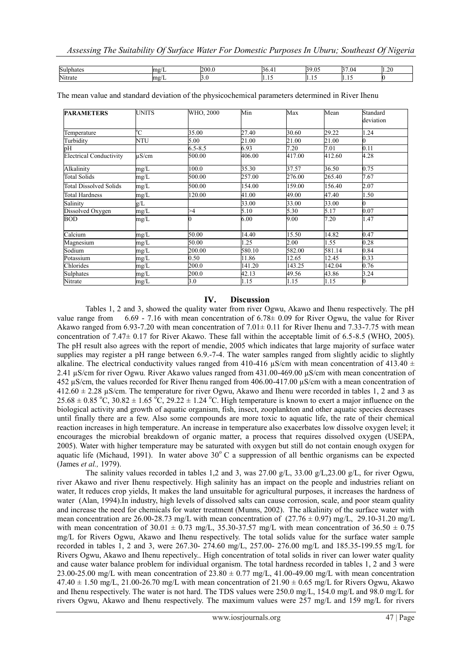| Sulphates | <b>SINGLE</b>     | 200 |   | $\mathcal{D}$<br>$\sim$<br>.U. | $-$<br>$\sim$<br>l 17 | $\sim$<br>. |
|-----------|-------------------|-----|---|--------------------------------|-----------------------|-------------|
| Nitrate   | <b>SINGLE</b><br> |     | . |                                | .                     |             |

| <b>PARAMETERS</b>              | <b>UNITS</b> | WHO, 2000   | Min    | Max    | Mean   | Standard  |
|--------------------------------|--------------|-------------|--------|--------|--------|-----------|
|                                |              |             |        |        |        | deviation |
| Temperature                    | °C           | 35.00       | 27.40  | 30.60  | 29.22  | 1.24      |
| Turbidity                      | <b>NTU</b>   | 5.00        | 21.00  | 21.00  | 21.00  |           |
| pН                             |              | $6.5 - 8.5$ | 6.93   | 7.20   | 7.01   | 0.11      |
| <b>Electrical Conductivity</b> | $\mu$ S/cm   | 500.00      | 406.00 | 417.00 | 412.60 | 4.28      |
| Alkalinity                     | mg/L         | 100.0       | 35.30  | 37.57  | 36.50  | 0.75      |
| Total Solids                   | mg/L         | 500.00      | 257.00 | 276.00 | 265.40 | 7.67      |
| Total Dissolved Solids         | mg/L         | 500.00      | 154.00 | 159.00 | 156.40 | 2.07      |
| Total Hardness                 | mg/L         | 120.00      | 41.00  | 49.00  | 47.40  | 1.50      |
| Salinity                       | g/L          |             | 33.00  | 33.00  | 33.00  | 0         |
| Dissolved Oxygen               | mg/L         | >4          | 5.10   | 5.30   | 5.17   | 0.07      |
| <b>BOD</b>                     | mg/L         |             | 6.00   | 9.00   | 7.20   | 1.47      |
| Calcium                        | mg/L         | 50.00       | 14.40  | 15.50  | 14.82  | 0.47      |
| Magnesium                      | mg/L         | 50.00       | 1.25   | 2.00   | 1.55   | 0.28      |
| Sodium                         | mg/L         | 200.00      | 580.10 | 582.00 | 581.14 | 0.84      |
| Potassium                      | mg/L         | 0.50        | 11.86  | 12.65  | 12.45  | 0.33      |
| Chlorides                      | mg/L         | 200.0       | 141.20 | 143.25 | 142.04 | 0.76      |
| Sulphates                      | mg/L         | 200.0       | 42.13  | 49.56  | 43.86  | 3.24      |
| Nitrate                        | mg/L         | 3.0         | 1.15   | 1.15   | 1.15   |           |

The mean value and standard deviation of the physicochemical parameters determined in River Ihenu

### **IV. Discussion**

Tables 1, 2 and 3, showed the quality water from river Ogwu, Akawo and Ihenu respectively. The pH value range from 6.69 - 7.16 with mean concentration of  $6.78\pm 0.09$  for River Ogwu, the value for River Akawo ranged from 6.93-7.20 with mean concentration of  $7.01\pm0.11$  for River Ihenu and 7.33-7.75 with mean concentration of 7.47± 0.17 for River Akawo. These fall within the acceptable limit of 6.5-8.5 (WHO, 2005). The pH result also agrees with the report of mendie, 2005 which indicates that large majority of surface water supplies may register a pH range between 6.9.-7-4. The water samples ranged from slightly acidic to slightly alkaline. The electrical conductivity values ranged from 410-416  $\mu$ S/cm with mean concentration of 413.40  $\pm$ 2.41 µS/cm for river Ogwu. River Akawo values ranged from 431.00-469.00 µS/cm with mean concentration of 452 µS/cm, the values recorded for River Ihenu ranged from 406.00-417.00 µS/cm with a mean concentration of  $412.60 \pm 2.28$   $\mu$ S/cm. The temperature for river Ogwu, Akawo and Ihenu were recorded in tables 1, 2 and 3 as 25.68  $\pm$  0.85 °C, 30.82  $\pm$  1.65 °C, 29.22  $\pm$  1.24 °C. High temperature is known to exert a major influence on the biological activity and growth of aquatic organism, fish, insect, zooplankton and other aquatic species decreases until finally there are a few. Also some compounds are more toxic to aquatic life, the rate of their chemical reaction increases in high temperature. An increase in temperature also exacerbates low dissolve oxygen level; it encourages the microbial breakdown of organic matter, a process that requires dissolved oxygen (USEPA, 2005). Water with higher temperature may be saturated with oxygen but still do not contain enough oxygen for aquatic life (Michaud, 1991). In water above  $30^{\circ}$  C a suppression of all benthic organisms can be expected (James *et al.,* 1979).

The salinity values recorded in tables 1,2 and 3, was 27.00  $g/L$ , 33.00  $g/L$ , 23.00  $g/L$ , for river Ogwu, river Akawo and river Ihenu respectively. High salinity has an impact on the people and industries reliant on water, It reduces crop yields, It makes the land unsuitable for agricultural purposes, it increases the hardness of water (Alan, 1994).In industry, high levels of dissolved salts can cause corrosion, scale, and poor steam quality and increase the need for chemicals for water treatment (Munns, 2002). The alkalinity of the surface water with mean concentration are 26.00-28.73 mg/L with mean concentration of  $(27.76 \pm 0.97)$  mg/L, 29.10-31.20 mg/L with mean concentration of 30.01  $\pm$  0.73 mg/L, 35.30-37.57 mg/L with mean concentration of 36.50  $\pm$  0.75 mg/L for Rivers Ogwu, Akawo and Ihenu respectively. The total solids value for the surface water sample recorded in tables 1, 2 and 3, were 267.30- 274.60 mg/L, 257.00- 276.00 mg/L and 185.35-199.55 mg/L for Rivers Ogwu, Akawo and Ihenu repectively.. High concentration of total solids in river can lower water quality and cause water balance problem for individual organism. The total hardness recorded in tables 1, 2 and 3 were 23.00-25.00 mg/L with mean concentration of  $23.80 \pm 0.77$  mg/L,  $41.00$ -49.00 mg/L with mean concentration  $47.40 \pm 1.50$  mg/L,  $21.00-26.70$  mg/L with mean concentration of  $21.90 \pm 0.65$  mg/L for Rivers Ogwu, Akawo and Ihenu respectively. The water is not hard. The TDS values were 250.0 mg/L, 154.0 mg/L and 98.0 mg/L for rivers Ogwu, Akawo and Ihenu respectively. The maximum values were 257 mg/L and 159 mg/L for rivers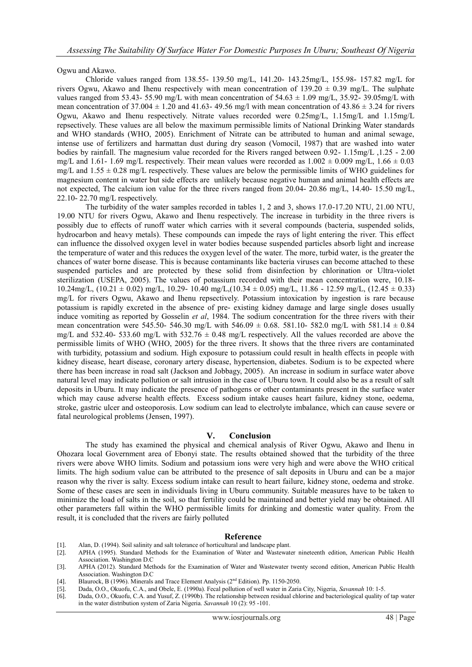Ogwu and Akawo.

Chloride values ranged from 138.55- 139.50 mg/L, 141.20- 143.25mg/L, 155.98- 157.82 mg/L for rivers Ogwu, Akawo and Ihenu respectively with mean concentration of  $139.20 \pm 0.39$  mg/L. The sulphate values ranged from 53.43- 55.90 mg/L with mean concentration of  $54.63 \pm 1.09$  mg/L,  $35.92$ - 39.05mg/L with mean concentration of  $37.004 \pm 1.20$  and  $41.63 - 49.56$  mg/l with mean concentration of  $43.86 \pm 3.24$  for rivers Ogwu, Akawo and Ihenu respectively. Nitrate values recorded were 0.25mg/L, 1.15mg/L and 1.15mg/L repsectively. These values are all below the maximum permissible limits of National Drinking Water standards and WHO standards (WHO, 2005). Enrichment of Nitrate can be attributed to human and animal sewage, intense use of fertilizers and harmattan dust during dry season (Vomocil, 1987) that are washed into water bodies by rainfall. The magnesium value recorded for the Rivers ranged between 0.92- 1.15mg/L ,1.25 - 2.00 mg/L and 1.61- 1.69 mg/L respectively. Their mean values were recorded as  $1.002 \pm 0.009$  mg/L,  $1.66 \pm 0.03$ mg/L and  $1.55 \pm 0.28$  mg/L respectively. These values are below the permissible limits of WHO guidelines for magnesium content in water but side effects are unlikely because negative human and animal health effects are not expected, The calcium ion value for the three rivers ranged from 20.04- 20.86 mg/L, 14.40- 15.50 mg/L, 22.10- 22.70 mg/L respectively.

The turbidity of the water samples recorded in tables 1, 2 and 3, shows 17.0-17.20 NTU, 21.00 NTU, 19.00 NTU for rivers Ogwu, Akawo and Ihenu respectively. The increase in turbidity in the three rivers is possibly due to effects of runoff water which carries with it several compounds (bacteria, suspended solids, hydrocarbon and heavy metals). These compounds can impede the rays of light entering the river. This effect can influence the dissolved oxygen level in water bodies because suspended particles absorb light and increase the temperature of water and this reduces the oxygen level of the water. The more, turbid water, is the greater the chances of water borne disease. This is because contaminants like bacteria viruses can become attached to these suspended particles and are protected by these solid from disinfection by chlorination or Ultra-violet sterilization (USEPA, 2005). The values of potassium recorded with their mean concentration were, 10.18- 10.24mg/L, (10.21 ± 0.02) mg/L, 10.29- 10.40 mg/L,(10.34 ± 0.05) mg/L, 11.86 - 12.59 mg/L, (12.45 ± 0.33) mg/L for rivers Ogwu, Akawo and Ihenu repsectively. Potassium intoxication by ingestion is rare because potassium is rapidly excreted in the absence of pre- existing kidney damage and large single doses usually induce vomiting as reported by Gosselin *et al*, 1984. The sodium concentration for the three rivers with their mean concentration were 545.50- 546.30 mg/L with 546.09  $\pm$  0.68. 581.10- 582.0 mg/L with 581.14  $\pm$  0.84 mg/L and 532.40- 533.60 mg/L with 532.76  $\pm$  0.48 mg/L respectively. All the values recorded are above the permissible limits of WHO (WHO, 2005) for the three rivers. It shows that the three rivers are contaminated with turbidity, potassium and sodium. High exposure to potassium could result in health effects in people with kidney disease, heart disease, coronary artery disease, hypertension, diabetes. Sodium is to be expected where there has been increase in road salt (Jackson and Jobbagy, 2005). An increase in sodium in surface water above natural level may indicate pollution or salt intrusion in the case of Uburu town. It could also be as a result of salt deposits in Uburu. It may indicate the presence of pathogens or other contaminants present in the surface water which may cause adverse health effects. Excess sodium intake causes heart failure, kidney stone, oedema, stroke, gastric ulcer and osteoporosis. Low sodium can lead to electrolyte imbalance, which can cause severe or fatal neurological problems (Jensen, 1997).

#### **V. Conclusion**

The study has examined the physical and chemical analysis of River Ogwu, Akawo and Ihenu in Ohozara local Government area of Ebonyi state. The results obtained showed that the turbidity of the three rivers were above WHO limits. Sodium and potassium ions were very high and were above the WHO critical limits. The high sodium value can be attributed to the presence of salt deposits in Uburu and can be a major reason why the river is salty. Excess sodium intake can result to heart failure, kidney stone, oedema and stroke. Some of these cases are seen in individuals living in Uburu community. Suitable measures have to be taken to minimize the load of salts in the soil, so that fertility could be maintained and better yield may be obtained. All other parameters fall within the WHO permissible limits for drinking and domestic water quality. From the result, it is concluded that the rivers are fairly polluted

#### **Reference**

- [1]. Alan, D. (1994). Soil salinity and salt tolerance of horticultural and landscape plant.
- [2]. APHA (1995). Standard Methods for the Examination of Water and Wastewater nineteenth edition, American Public Health Association. Washington D.C
- [3]. APHA (2012). Standard Methods for the Examination of Water and Wastewater twenty second edition, American Public Health Association. Washington D.C
- [4]. Blaurock, B (1996). Minerals and Trace Element Analysis (2<sup>nd</sup> Edition). Pp. 1150-2050.
- [5]. Dada, O.O., Okuofu, C.A., and Obele, E. (1990a). Fecal pollution of well water in Zaria City, Nigeria, *Savannah* 10: 1-5.
- [6]. Dada, O.O., Okuofu, C.A. and Yusuf, Z. (1990b). The relationship between residual chlorine and bacteriological quality of tap water in the water distribution system of Zaria Nigeria. *Savannah* 10 (2): 95 -101.